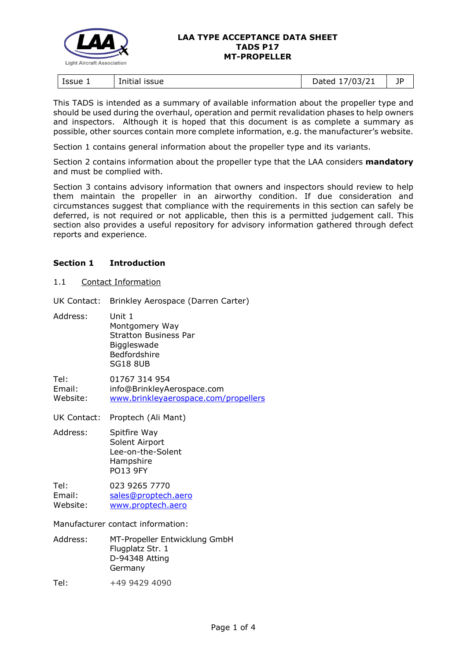

#### **LAA TYPE ACCEPTANCE DATA SHEET TADS P17 MT-PROPELLER**

| ssue 1<br>issue<br>Initial | 1021<br>.<br>07<br>.,<br>2000 | --<br>ΙL<br>- 1 |
|----------------------------|-------------------------------|-----------------|
|----------------------------|-------------------------------|-----------------|

This TADS is intended as a summary of available information about the propeller type and should be used during the overhaul, operation and permit revalidation phases to help owners and inspectors. Although it is hoped that this document is as complete a summary as possible, other sources contain more complete information, e.g. the manufacturer's website.

Section 1 contains general information about the propeller type and its variants.

Section 2 contains information about the propeller type that the LAA considers **mandatory** and must be complied with.

Section 3 contains advisory information that owners and inspectors should review to help them maintain the propeller in an airworthy condition. If due consideration and circumstances suggest that compliance with the requirements in this section can safely be deferred, is not required or not applicable, then this is a permitted judgement call. This section also provides a useful repository for advisory information gathered through defect reports and experience.

## **Section 1 Introduction**

1.1 Contact Information

UK Contact: Brinkley Aerospace (Darren Carter)

Address: Unit 1 Montgomery Way Stratton Business Par **Biggleswade** Bedfordshire SG18 8UB

Tel: 01767 314 954 Email: info@BrinkleyAerospace.com Website: [www.brinkleyaerospace.com/propellers](https://www.brinkleyaerospace.com/propellers/)

UK Contact: Proptech (Ali Mant)

Address: Spitfire Way Solent Airport Lee-on-the-Solent Hampshire PO13 9FY

Tel: 023 9265 7770 Email: [sales@proptech.aero](mailto:sales@proptech.aero) Website: [www.proptech.aero](https://www.proptech.aero/)

Manufacturer contact information:

- Address: MT-Propeller Entwicklung GmbH Flugplatz Str. 1 D-94348 Atting Germany
- Tel: +49 9429 4090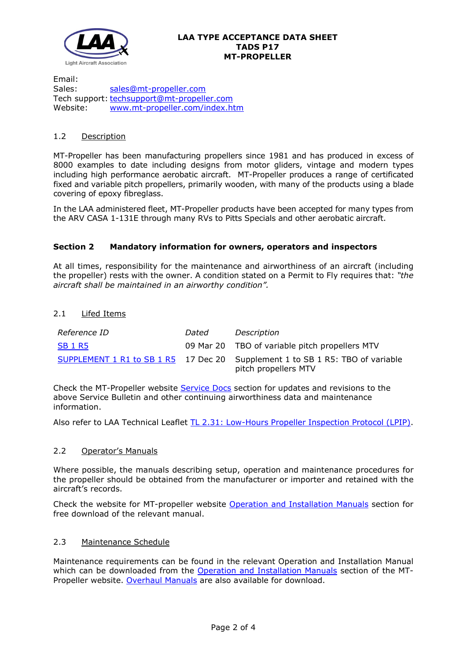

Email: Sales: [sales@mt-propeller.com](mailto:sales@mt-propeller.com) Tech support: [techsupport@mt-propeller.com](mailto:techsupport@mt-propeller.com)<br>Website: www.mt-propeller.com/index.ht Website: [www.mt-propeller.com/index.htm](https://www.mt-propeller.com/index.htm)

# 1.2 Description

MT-Propeller has been manufacturing propellers since 1981 and has produced in excess of 8000 examples to date including designs from motor gliders, vintage and modern types including high performance aerobatic aircraft. MT-Propeller produces a range of certificated fixed and variable pitch propellers, primarily wooden, with many of the products using a blade covering of epoxy fibreglass.

In the LAA administered fleet, MT-Propeller products have been accepted for many types from the ARV CASA 1-131E through many RVs to Pitts Specials and other aerobatic aircraft.

# **Section 2 Mandatory information for owners, operators and inspectors**

At all times, responsibility for the maintenance and airworthiness of an aircraft (including the propeller) rests with the owner. A condition stated on a Permit to Fly requires that: *"the aircraft shall be maintained in an airworthy condition".* 

## 2.1 Lifed Items

| Reference ID   | Dated | Description                                                                                           |
|----------------|-------|-------------------------------------------------------------------------------------------------------|
| <b>SB 1 R5</b> |       | 09 Mar 20 TBO of variable pitch propellers MTV                                                        |
|                |       | SUPPLEMENT 1 R1 to SB 1 R5 17 Dec 20 Supplement 1 to SB 1 R5: TBO of variable<br>pitch propellers MTV |

Check the MT-Propeller website [Service Docs](https://www.mt-propeller.com/en/entw/serviced.htm) section for updates and revisions to the above Service Bulletin and other continuing airworthiness data and maintenance information.

Also refer to LAA Technical Leaflet [TL 2.31: Low-Hours Propeller Inspection Protocol \(LPIP\).](http://www.lightaircraftassociation.co.uk/engineering/TechnicalLeaflets/Operating%20An%20Aircraft/TL%202.31%20LPIP.pdf)

## 2.2 Operator's Manuals

Where possible, the manuals describing setup, operation and maintenance procedures for the propeller should be obtained from the manufacturer or importer and retained with the aircraft's records.

Check the website for MT-propeller website [Operation and Installation Manuals](https://www.mt-propeller.com/en/entw/serv_op.htm) section for free download of the relevant manual.

## 2.3 Maintenance Schedule

Maintenance requirements can be found in the relevant Operation and Installation Manual which can be downloaded from the [Operation and Installation Manuals](https://www.mt-propeller.com/en/entw/serv_op.htm) section of the MT-Propeller website. [Overhaul Manuals](https://www.mt-propeller.com/en/entw/serv_over.htm) are also available for download.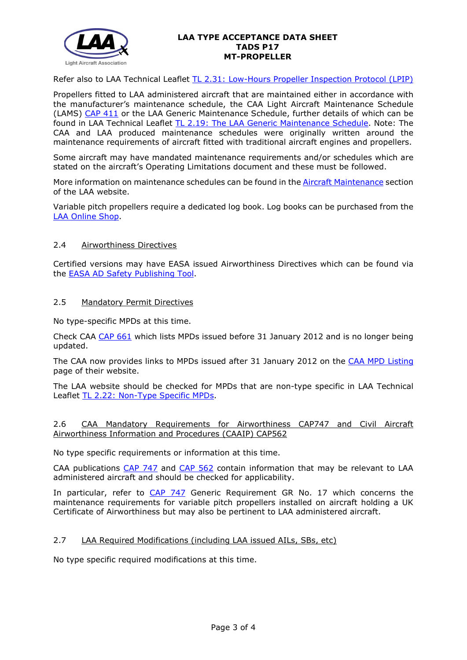

#### **LAA TYPE ACCEPTANCE DATA SHEET TADS P17 MT-PROPELLER**

Refer also to LAA Technical Leaflet [TL 2.31: Low-Hours Propeller Inspection Protocol \(LPIP\)](http://www.lightaircraftassociation.co.uk/engineering/TechnicalLeaflets/Operating%20An%20Aircraft/TL%202.31%20LPIP.pdf)

Propellers fitted to LAA administered aircraft that are maintained either in accordance with the manufacturer's maintenance schedule, the CAA Light Aircraft Maintenance Schedule (LAMS) [CAP 411](http://www.caa.co.uk/CAP411) or the LAA Generic Maintenance Schedule, further details of which can be found in LAA Technical Leaflet [TL 2.19: The LAA Generic Maintenance Schedule.](http://www.lightaircraftassociation.co.uk/engineering/TechnicalLeaflets/Operating%20An%20Aircraft/TL%202.19%20The%20LAA%20Generic%20Maintenance%20Schedule.pdf) Note: The CAA and LAA produced maintenance schedules were originally written around the maintenance requirements of aircraft fitted with traditional aircraft engines and propellers.

Some aircraft may have mandated maintenance requirements and/or schedules which are stated on the aircraft's Operating Limitations document and these must be followed.

More information on maintenance schedules can be found in the [Aircraft Maintenance](http://www.lightaircraftassociation.co.uk/engineering/Maintenance/Aircraft_Maintenance.html) section of the LAA website.

Variable pitch propellers require a dedicated log book. Log books can be purchased from the [LAA Online Shop.](https://services.lightaircraftassociation.co.uk/catalog/265)

#### 2.4 Airworthiness Directives

Certified versions may have EASA issued Airworthiness Directives which can be found via the [EASA AD Safety Publishing Tool.](https://ad.easa.europa.eu/search/advanced)

#### 2.5 Mandatory Permit Directives

No type-specific MPDs at this time.

Check CAA [CAP 661](http://www.caa.co.uk/cap661) which lists MPDs issued before 31 January 2012 and is no longer being updated.

The CAA now provides links to MPDs issued after 31 January 2012 on the [CAA MPD Listing](http://publicapps.caa.co.uk/modalapplication.aspx?appid=11&mode=list&type=sercat&id=55) page of their website.

The LAA website should be checked for MPDs that are non-type specific in LAA Technical Leaflet [TL 2.22: Non-Type Specific MPDs.](http://www.lightaircraftassociation.co.uk/engineering/TechnicalLeaflets/Operating%20An%20Aircraft/TL%202.22%20non-type%20specific%20MPDs.pdf)

## 2.6 CAA Mandatory Requirements for Airworthiness CAP747 and Civil Aircraft Airworthiness Information and Procedures (CAAIP) CAP562

No type specific requirements or information at this time.

CAA publications [CAP 747](http://www.caa.co.uk/CAP747) and [CAP 562](http://www.caa.co.uk/CAP562) contain information that may be relevant to LAA administered aircraft and should be checked for applicability.

In particular, refer to [CAP 747](http://www.caa.co.uk/CAP747) Generic Requirement GR No. 17 which concerns the maintenance requirements for variable pitch propellers installed on aircraft holding a UK Certificate of Airworthiness but may also be pertinent to LAA administered aircraft.

## 2.7 LAA Required Modifications (including LAA issued AILs, SBs, etc)

No type specific required modifications at this time.